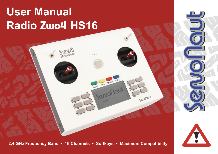# **User Manual Radio Zwo4 HS16**

 **2,4 GHz Frequency Band • 16 Channels • Softkeys • Maximum Compatibility**

Info Modell

Menis Into Modell 11

Servonout



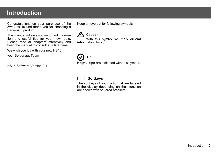# **Introduction**

Congratulations on your purchase of the Zwo4 HS16 und thank you for choosing a Servonaut product.

This manual will give you important information and useful tips for your new radio. Please read all chapters attentively and keep the manual to consult at a later time.

We wish you joy with your new HS16

your Servonaut Team

HS16 Software Version 2.1

Keep an eye out for following symbols:



With this symbol we mark **crucial information** for you.

# **Tip**

**Helpful tips** are indicated with this symbol.

### **[.....] Softkeys**

The softkeys of your radio that are labeled in the display depending on their function are shown with squared brackets.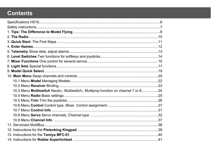# **Contents**

| 10.3 Menu Multiswitch Nautic-, Multiswitch-, Multiprop function on channel 7 or 824 |  |
|-------------------------------------------------------------------------------------|--|
|                                                                                     |  |
|                                                                                     |  |
|                                                                                     |  |
|                                                                                     |  |
|                                                                                     |  |
|                                                                                     |  |
|                                                                                     |  |
|                                                                                     |  |
|                                                                                     |  |
|                                                                                     |  |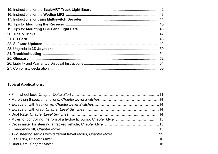### **Typical Applications**:

| • Two steering servos with different travel radius, Chapter Mixer 15 |  |
|----------------------------------------------------------------------|--|
|                                                                      |  |
|                                                                      |  |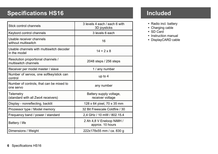# **Specifications HS16**

| Stick control channels                                     | 3 levels 4 each / each 6 with<br>3D joysticks |  |
|------------------------------------------------------------|-----------------------------------------------|--|
| Keybord control channels                                   | 3 levels 6 each                               |  |
| Usable receiver channels<br>without multiswitch            | 16                                            |  |
| Usable channels with multiswitch decoder<br>in the model   | $14 + 2 \times 8$                             |  |
| Resolution proportional channels /<br>multiswitch channels | 2048 steps / 256 steps                        |  |
| Receiver per model master / slave                          | 1 / any number                                |  |
| Number of servos, one softkey/stick can<br>control         | up to $4$                                     |  |
| Number of controls, that can be mixed to<br>one servo      | any number                                    |  |
| Telemetry<br>(standard with all Zwo4 receivers)            | Battery supply voltage,<br>receiver voltage   |  |
| Display - nonreflecting, backlit                           | 128 x 64 pixel, 70 x 35 mm                    |  |
| Prozessor type / Model memory                              | 32 Bit Freescale Coldfire / 30                |  |
| Frequenzy band / power / standard                          | 2,4 GHz / 10 mW / 802.15.4                    |  |
| Battery / life                                             | 2 Ah 4,8 V Eneloop NiMH /<br>approx. 10 hours |  |
| Dimensions / Weight                                        | 222x178x55 mm / ca. 830 g                     |  |

# **Included**

- Radio incl. battery
- Charging cable
- ü SD Card
- Instruction manual
- DisplayCARD cable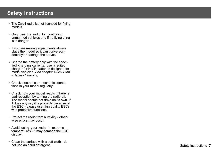# **Safety instructions**

- The Zwo4 radio ist not licensed for flying models.
- Only use the radio for controlling unmanned vehicles and if no living thing is in danger.
- If you are making adjustments always place the model so it can't drive accidentally or damage the servos.
- Charge the battery only with the specified charging currents, use a suited charger for NiMH batteries designed for model vehicles. *See chapter Quick Start - Battery Charging*
- Check electronic or mechanic connections in your model regularly.
- Check how your model reacts if there is bad reception by turning the radio off. The model should not drive on its own. If it does anyway it is probably because of the ESC - please use high quality ESCs with protective functions.
- Protect the radio from humidity otherwise errors may occur.
- Avoid using your radio in extreme temperatures - it may damage the LCD display.
- ü Clean the surface with a soft cloth do not use an acrid detergent.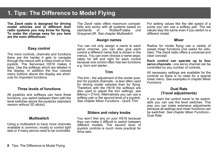# **1. Tips: The Difference to Model Flying**

**The Zwo4 radio is designed for driving model vehicles and is different than radio systems you may know for flying. To make the change easy for you here are the main differences:**

### **Easy control**

The more controls, channels and functions there are the harder it gets to navigate through the menus with a rotary knob or mini joystick. The Servonaut HS16 makes it easy: Use the softkeys which are labeled in the display. In addition the four colored menu buttons above the display are shortcuts for important functions.

### **Three levels of functions**

All joysticks and softkeys can have three functions, you switch between them with the level switches above the joysticks (standard version without 3D sticks).

### **Multiswitch**

Using a multiswitch to have more channels available is common, mostly to control light sets or if many servos need to be controlled.

The Zwo4 radio offers maximum compatibility and works with all systems based on<br>standards of Robbe/Futaba und Robbe/Futaba Graupner/JR. *See chapter Multiswitch*

### **Assign names**

You can not only assign a name to each servo channel, you can also give each control a different name that is shown in the menus. You can even choose a name separately for left and right for each control because one control often has two functions e.g. horn and starter.

### **Trim**

The trim - the adjustment of the center position for joystick channels - is less often used for driving model vehicles than for flying. Therefore with the HS16 the softkeys are also used to adjust the trim settings, see [Menu] > [Trim]. Alternatively you can use a softkey pair or the second level of a joystick. *See chapter Mixer Functions - Quick Trim*

### **Sliders and rotary knobs**

You won't find any on your HS16 because they can make it difficult to switch between different models. The second level of joystick controls is much more practical for drive sets.

For setting values like the idle speed of a pump you can use a softkey pair. The set values stay the same even if you switch to a different model.

### **Mixer**

Radios for model flying use a variety of preset mixer functions (not useful for vehicles). The Zwo4 radio offers a universal and clear concept.

**Each control can operate up to four servo channels** - one servo channel can be controlled by any number of controls.

All necessary settings are available for the controls so there is no need for a special mixer menu. *See examples in chapter Mixer Functions*

### **Dual Rate (Travel adjustments)**

If you want the control travel to be switchable you can use the level switches. This way you can make extensive adjustments because all settings and mixer functions can be switched. *See chapter Mixer Functions - Dual Rate*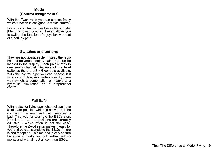### **Mode (Control assignments)**

With the Zwo4 radio you can choose freely which function is assigned to which control.

For a quick change use the settings under [Menu] > [Swap control]. It even allows you to switch the function of a joystick with that of a softkey pair.

### **Switches and buttons**

They are not upgradeable. Instead the radio has six universal softkey pairs that can be labeled in the display. Each pair relates to one servo channel. Because of the level switches there are 3 x 6 controls available. With the control type you can choose if it acts as a button, momentary switch, three way switch, a combination or thanks to a hydraulic simulation as a proportional control.

### **Fail Safe**

With radios for flying each channel can have a fail safe position which is activated if the connection between radio and receiver is bad. This way for example the ESCs stop. Premise is that the positions are correctly adjusted - which often is not the case. Therefore the Zwo4 setup makes it easy for you and cuts all signals to the ESCs if there is bad reception. This method is very secure because it works without further adjustments and with almost all common ESCs.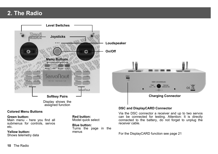# **2. The Radio**



### **Colored Menu Buttons**

### **Green button:**

Main menu - here you find all submenus for controls, servos etc.

### **Yellow button:**

Shows telemetry data

**Red button:** Model quick select

**Blue button:** Turns the page in the menus

### **DSC and DisplayCARD Connector**

Via the DSC connector a receiver and up to two servos can be connected for testing. Attention: It is directly connected to the battery, do not forget to unplug the receiver cable.

200mA/14h

 $ce$ 

For the DisplayCARD function see page 21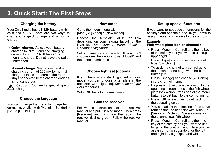# **3. Quick Start: The First Steps**

### **Charging the battery**

Your Zwo4 radio has a NiMH battery with 4 cells and 4,8 V. There are two ways to charge it: a quick charge and a normal charge.

- **Quick charge: Adjust your battery** charger to NiMH and the charging current to 0,5 or 1A. It takes 2 to 5 hours to charge. Do not leave the radio unattended.
- ü **Normal charge**: We recommend a charging current of 200 mA for normal charge. It takes 14 hours. If the radio stays connected to the charger longer it is not dangerous.

**Caution:** You need a special type of  $\mathbf{m}$  charger.

### **Choose the language**

You can change the menu language from german to english with [Menu] > [Sender] >  $[1v2]$  >  $[DEU/ENG]$ .

### **New model**

Go to the model menu with [Menu] > [Model] > [New model].

Choose the template MC19 or F14 depending on your favorite layout for the joysticks. *See chapter Menu Model - Channel Assignment*

Set a name for your model. If you don't choose one the radio shows "Modell" and the model number instead.

### **Choose light set (optional)**

If you have a standard light set in your model you can choose a template in the next step with [Light set]. *See chapter Light Sets for details*

With [OK] back to the main menu.

### **Bind the receiver**

Follow the instructions of the receiver manual and put it in bind mode. Then press [Receiver] and [Bind] on the radio. The receiver flashes green. Follow the receiver manual.

### **Set up special functions**

If you want to set special functions for the softkeys and channels 5 to 16 you have to assign the servo channels to the controls.

### **Example:**

### **Fifth wheel plate lock on channel 5**

- Press [Menu] > [Control] and then a key of the softkey pair you want to use e.g. upper right.
- Press [Type] and choose the channel type [Switch - +].
- To assign a channel to a control go to the second menu page with the blue button [1v5].
- Press [Change] and choose [x5:Servo] in the channel menu.
- By pressing [Test] you can switch to the operating screen to test if the fifth wheel plate lock works. Press one of the menu buttons to get back to the control menu.
- Press [OK] a few times to get back to the operating screen.
- You can adiust the direction of the servo rotation and the endpoint with [Menu] > [Servo] > [x5:Servo]. Save a name for the channel e.g. fifth wheel.
- Press [Menu] > [Control] and then the key of the softkey pair you want to use to get to the control menu. Here you can assign a name separately for the left and right key e.g. Open and Close.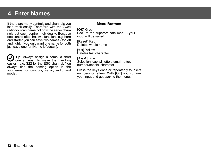# **4. Enter Names**

If there are many controls and channels you lose track easily. Therefore with the Zwo4 radio you can name not only the servo channels but each control individually. Because one control often has two functions e.g. horn and starter you can save two names - for left and right. If you only want one name for both just save one for [Name left/down].

**Tip:** Always assign a name, a short one at least, to make the handling easier - e.g. S22 for the ESC channel. You always find the naming option in the submenus for controls, servo, radio and model.

### **Menu Buttons**

### **[OK]** Green

Back to the superordinate menu - your input will be saved

### **[Reset]** Red

Deletes whole name

### **[<-x]** Yellow Deletes last character

### **[A-a-1]** Blue

Selection capital letter, small letter, number/special character

Press the keys once or repeatedly to insert numbers or letters. With [OK] you confirm your input and get back to the menu.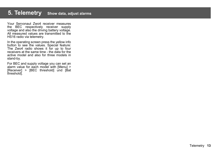# **5. Telemetry Show data, adjust alarms**

Your Servonaut Zwo4 receiver measures the BEC respectively receiver supply voltage and also the driving battery voltage. All measured values are transmitted to the HS16 radio via telemetry.

In the operating screen press the yellow info button to see the values. Special feature: The Zwo4 radio shows it for up to four receivers at the same time - the data for the active model and also for three models in stand-by.

For BEC and supply voltage you can set an alarm value for each model with [Menu] > [Receiver] > [BEC threshold] und [Bat threshold].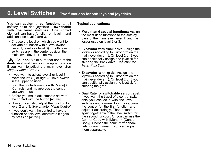# **6. Level Switches Two functions for softkeys and joysticks**

You can **assign three functions** to all softkey pairs and joysticks - **switchable with the level switches**. One control element can have function on level 1 and additional on level 2 **and** 3.

• Choose the level on which you want to activate a function with a level switch (level 1, level 2 or level 3). If both level switches are in the center position the main level (level 1) is active.

**Caution:** Make sure that none of the **11** level switches is in the upper position if you want to adjust the main level. *See chapter Menu Control*

- If you want to adjust level 2 or level 3, move the left  $(2)$  or right  $(3)$  level switch in the upper position.
- Start the controls menus with [Menu] > [Controls] and move/press the control you want to use.
- Before you make adjustments activate the control with the button [active].
- Now you can also adjust the function for level 2 and 3. *See chapter Menu Control*
- If you don't want the control to have a function on this level deactivate it again by pressing [active].

### **Typical applications:**

- **More than 6 special functions: Assign** the most used functions to the softkey pairs of the main level (level 1) and the lesser used on level 2 or 3.
- ü **Excavator with track drive:** Assign the joysticks according to Euronorm on the main level (level 1). On level 2 or 3 you can additionally assign one joystick for steering the track drive. *See chapter Mixer Functions*
- **Excavator with grab:** Assign the joysticks according to Euronorm on the main level (level 1). On level 2 or 3 you can additionally assign one joystick for steering the grab.
- ü **Dual Rate for switchable servo travel:** If you want the travel of a control switchable you can do it with the level switches and a mixer. First move/press the control for the first function and adjust it accordingly. Then actuate it again together with the level switch for the second function. Or you can use the Control Copy with [Menu] > [Control Copy]. Choose the same mixer channels for each variant. You can adjust them separately.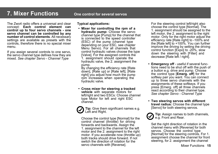# **7. Mixer Functions One control for several servos**

The Zwo4 radio offers a universal and clear concept: **Each control element can control up to four servo channels - one servo channel can be controlled by any number of control elements**. All necessary settings are available as presets with the controls, therefore there is no special mixer menu.

If you assign several controls to one servo, the servo channel type defines how they are mixed. *See chapter Servo - Channel Type*

### **Typical applications:**

ü **Mixer for controlling the rpm of a hydraulic pump:** Choose the servo channel type [Pump] for the channel that is connected to the speed controller (ESC) of the pump (channel type depending on your ESC, see chapter Menu Servo). For all channels that control hydraulic valves choose the type [Valve]. For the assigned controls the 1. assignment should operate the hydraulic valve, the 2. assignment the pump.

By changing the efficiency rate [Rate down], [Rate up] or [Rate left], [Rate right] you adjust how much the pump rom increases when operating the hydraulic valve.

ü **Cross mixer for steering a tracked vehicle** with separate motors for left/right and two ESCs: Choose channel type Motor for left and right ESC channel.

**Tip:** Give them significant names e.g. Left and Right.

Choose the control type [Normal] for the control channel (throttle) for driving forwards and backwards. Assign the 1. assignment to the channel for the left motor and the 2. assignment to the right motor. If you accelerate now (throttle up) both tracks should drive forward. If not switch the direction of rotation for the servo channels with [Reverse].

For the steering control left/right also choose the control type [Normal]. The 1. assignment should be assigned to the left motor, the 2. assignment to the right motor. Only for the right motor adjust the efficiency rate [Rate right] to -100% and the [Rate left] to +100%. You can further improve the driving by setting the driving control function [Expo] to -20%, slow down the steering with [Filter] and decrease [Rate left / right].

- **Emergency off** useful if several functions need to be shut off with the push of a button e.g. drive and pump. Choose the control type [**Emerg. off**] for the softkey pair you want. You can connect up to three servo channels with the assignments of these softkeys. If you press [Emerg. off] all three channels react according to their channel type. *See chapter Servo - Channel Type*
- ü **Two steering servos with different travel radius:** Choose the channel type [Servo] for both steering servos.

**Tip:** Assign names to both channels. e.g. Front and Rear.

Set the right direction of rotation in the channel menu with [Reverse] for both servos. Choose the control type [Normal] for the steering controls. For 1. assignment choose the channel for front steering, for 2. assignment the channel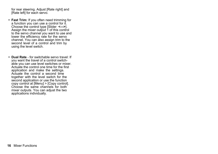for rear steering. Adjust [Rate right] and [Rate left] for each servo.

- ü **Fast Trim:** If you often need trimming for a function you can use a control for it. Choose the control type [Slider **<--->**]. Assign the mixer output 1 of this control to the servo channel you want to use and lower the efficiency rate for the servo channel. You can also assign trim to the second level of a control and trim by using the level switch.
- ü **Dual Rate** for switchable servo travel: If you want the travel of a control switchable you can use level switches or mixer. Actuate the control one time for the first application and make the settings. Actuate the control a second time together with the level switch for the second application or use the function copy control at [Menu] > [Copy control]. Choose the same channels for both mixer outputs. You can adjust the two applications individually.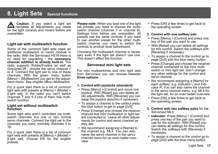# **8. Light Sets Special functions**

**Caution**: If you select a light set template all adjustments you made for the light controls and mixers before are overwritten

### **Light set with multiswitch function**

Some of the common light sets need an additional multiswitch or nautic module in the radio. With the Servonaut HS16 there is no need for upgrading - the **necessary channel addition is already built-in.** The radio supports Robbe/Futaba as well as Graupner/JR - choose the servo channel 7 or 8. Connect the light set to one of these channels. With the green menu button [Menu] > [Multiswitch] you get to the adjustment menu. *See chapter Menu Multiswitch.*

For a quick start there is a list of common light sets with presets at [Menu] > [Model] > [Light set]. In the radio you can't switch channels 7 and 8 if one of them has multiswitch function.

### **Light set without multiswitch function**

Some light sets aren't controlled via multiswitch channels but one or two normal servo channels. Connect the light set to the channels you want, normally channels 5 to 16.

For a quick start there is a list of common light sets with presets at [Menu] > [Model] > [Light set]. Choose EN for the english presets.

**Please note:** When you load one of the light set presets you need to choose the multiswitch channel (channel 7 or channel 8). Settings from before are overwritten. All presets use the same controls. If you want to use another preset for the other multiswitch channel you need to switch the controls to another level beforehand.

Choosing the multiswitch channel is necessary even if the light set doesn't use one. This doesn't affect the function.

### **Servonaut mini light sets**

For mini multiswitches and mini light sets from Servonaut you can choose between **three options**:

### **1. Control with joysticks (standard)**

- Press [Menu] > [Control] and move one joystick. With [Reset] you can delete all old adjustments. With [Reverse] you can swap the joystick direction if necessary.
- To assign a channel to the control press the blue button to get to page [2v5].
- Press [Change] and choose the receiver channel that mini multiswitch or light set are connected to. Leave all other adjustments for control and servo channel as they are.
- We recommend assigning a [Name] to the channel e.g. ML4. You can also name the servo channel in the servo channel menu for an even better overview.

• Press [OK] a few times to get back to the operating screen.

### **2. Control with one softkey pair**

- Press [Menu] > [Control] and press one key of the pair you want to use.
- With [Reset] you can delete all settings for this control. Switch the softkeys with [Reverse] if necessary.
- To assign a channel to the control go to page [2v5] with the blue menu button.
- Press [Change] and choose the receiver channel connected to the mini multiswitch or mini light set. Don't change any other settings for the control and servo channel.
- We recommend assigning a [Name] for each softkey, e.g. Indicator L and Indicator R. You can also name the channel in the servo channel menu, e.g. ML4 for the light set, for an even better overview.
- Press [OK] a few times to get back to the operating screen.
- **3. Control with two softkey pairs** for the Servonaut ML4
- **Indicator:** Press [Menu] > [Control] and press one key of the pair you want to use for the indicator. With [Reset] you can delete all settings for this control. Switch the softkeys with [Reverse] if necessary.
- To assign a channel to the control go to page [2v5] with the blue menu button.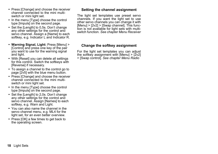- Press [Change] and choose the receiver channel connected to the mini multiswitch or mini light set.
- In the menu [Type] choose the control type [Impuls] on the second page.
- Set the [Length] to 0,5s. Don't change any other settings for the control and servo channel. Assign a [Name] to each softkey, e.g. Indicator L and Indicator R.
- ü **Warning Signal, Light:** Press [Menu] > [Control] and press one key of the pair you want to use for the warning signal and light.
- With [Reset] you can delete all settings for this control. Switch the softkeys with [Reverse] if necessary.
- To assign a channel to the control go to page [2v5] with the blue menu button.
- Press [Change] and choose the receiver channel connected to the mini multiswitch or mini light set.
- In the menu [Type] choose the control type [Impuls] on the second page.
- Set the [Length] to 2,0s. Don't change any other settings for the control and servo channel. Assign [Names] to each softkey, e.g. Warn and Light.
- You can also name the channel in the servo channel menu, e.g. ML4 for the light set, for an even better overview.
- Press [OK] a few times to get back to the operating screen.

### **Setting the channel assignment**

The light set templates use preset servo channels. If you want the light set to use other servo channels you can change it with  $[Menu] > [2v2] > [Swap channel]$ . This function is not available for light sets with multiswitch function. *See chapter Menu Receiver*

### **Change the softkey assignment**

For the light set templates you can adjust the softkey assignment with  $[Menu] > [2v2]$ > [Swap control]. *See chapter Menu Radio*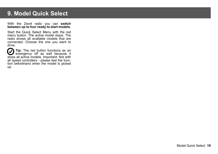# **9. Model Quick Select**

### With the Zwo4 radio you can **switch between up to four ready to start models.**

Start the Quick Select Menu with the red menu button. The active model stops. The radio shows all available models that are connected. Choose the one you want to drive.

**Tip:** The red button functions as an emergency off as well because it stops all active models. Important: Not with all speed controllers - please test the function beforehand when the model is jacked up.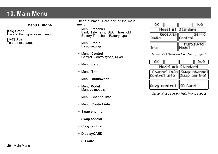# **10. Main Menu**

### **Menu Buttons**

**[OK]** Green Back to the higher-level menu.

**[1v2]** Blue To the next page. These submenus are part of the main menu:

- ü Menu **Receiver** Bind, Telemetry, BEC Threshold, Battery Threshold, Battery type
- ü Menu **Radio** Basic settings
- ü Menu **Control** Control, Control types, Mixer
- Menu **Servo**
- Menu **Trim**
- Menu **Multiswitch**
- ü Menu **Model** Manage models
- ü Menu **Channel info**
- Menu **Control info**
- **Swap channel**
- **Swap control**
- **Copy control**
- **DisplayCARD**
- **SD Card**

| OK.                 |                             |
|---------------------|-----------------------------|
|                     | Model #1: Standard          |
| Receiver <br>lRadio | Servol<br>lContro1          |
| Trim                | <b>Multiswitch</b><br>Model |

*Screenshot Overview Main Menu, page 1*

| OK.                    | 202.                                                        |
|------------------------|-------------------------------------------------------------|
|                        | Model #1: Standard                                          |
|                        | Channel info  Swap-channel <br> Control info   Swap-control |
| Copy control   SD Card |                                                             |

*Screenshot Overview Main Menu, page 2*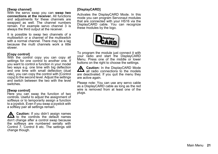### **[Swap channel]**

With the servo swap you can **swap two connections at the receiver.** All functions and adjustments for these channels are swapped as well. The channel numbers remain. For example servo channel 3 is always the third output at the receiver.

It is possible to swap two channels of a multiswitch or a channel of the multiswitch with a normal channel. There may be a lag because the multi channels work a little slower.

### **[Copy control]**

With the control copy you can copy all settings for one control to another one. If you want to control a function in your model two ways e.g. one time with big deflection and one time with small deflection (dual rate), you can copy the control with [Control copy] to the second level. Adjust the settings and switch between the two with the level switches.

### **[Swap control]**

Here you can swap the function of two controls. Useful to adjust the assignment of softkeys or to temporarily assign a function to a joystick. Even if you swap a joystick with a softkey pair all settings remain.

**Caution:** If you didn't assign names to the controls the default names don't change after a control swap because the softkeys are numbered serially with Control 7, Control 8 etc. The settings still change though.

### **[DisplayCARD]**

Activates the DisplayCARD Mode. In this mode you can program Servonaut modules that are connected with your HS16 via the DisplayCARD cable. You can recognize these modules by the logo.



To program the module just connect it with your radio and start the DisplayCARD Menu. Press one of the middle or lower buttons on the right to choose the settings.

**A** Caution: In the DisplayCARD Mode **21** all radio connections to the models are deactivated. If you quit the menu they are active again.

Please note: You can use any servo cable as a DisplayCARD cable as long as the red wire is removed from at least one of the plugs.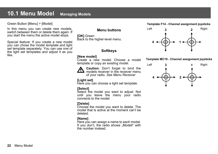# **10.1 Menu Model Managing Models**

Green Button [Menu] > [Model]

In this menu you can create new models. switch between them or delete them again. If you start the menu the active model stops.

Special feature: If you create a new model you can chose the model template and light set template separately. You can use one of the light set templates and adjust it as you like.

### **Menu buttons**

**[OK]** Green Back to the higher-level menu.

### **Softkeys**

### **[New model]**

Create a new model: Choose a model template or copy an existing model.



**Caution:** Don't forget to bind the  $\sum$  models receiver in the receiver menu of your radio. *See Menu Receiver*

### **[Light set]**

Here you can choose a light set template.

### **[Select]**

Select the model you want to adjust. Not until you leave the menu your radio connects to the model.

### **[Delete]**

Choose the model you want to delete. The model that is active at the moment can't be deleted.

### **[Name]**

Here you can assign a name to each model. If you don't, the radio shows "Modell" with the number instead.

### **Template F14 - Channel assignment joysticks**



### **Template MC19 - Channel assignment joysticks**

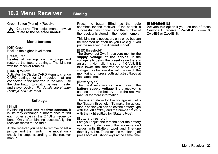# **10.2 Menu Receiver** Binding

Green Button [Menu] > [Receiver]



**Caution:** The adjustments always **relate to the selected model**!

### **Menu buttons**

**[OK]** Green Back to the higher-level menu.

### **[Reset]** Red

Deletes all settings on this page and restores the factory settings. The binding with the receiver remains.

### **[CARD]** Yellow

Activates the DisplayCARD Menu to change CARD settings for all modules that are connected to the receiver. In the Menu use the blue button to switch between master and slave receiver. *For details see chapter DisplayCARD via radio*

### **Softkeys**

### **[Bind]**

By binding **radio and receiver connect.** It is like they exchange numbers once to find each other again in the 2.4GHz frequency band. Only after binding successfully the receiver reacts to the radio.

At the receiver you need to remove or set a jumper and then switch the model on check the steps according to the receiver manual.

Press the button [Bind] so the radio searches for the receiver. If the search is successful they connect and the number of the receiver is stored in the model memory.

This binding is necessary only once but can be repeated as often as you like e.g. if you put the receiver in a different model.

### **[BEC threshold]**

The Servonaut 7 wo4 receivers monitor the **supply voltage of the servos.** If the voltage falls below the preset value there is an alarm. Normally it is set at 4.6 Volt. If it falls lower the receiver or servo supply voltage may be overstrained. To switch the monitoring off press both adjust-softkeys at the same time.

### **[Battery type]**

The Zwo4 receivers can also monitor the **battery supply voltage** if the receiver is connected to the battery - see the receiver manual for more information.

There is an alarm for low voltage as well the [Battery threshold]. To make the adjustments easier you can select the battery type with the left softkey and the number of cells with the right softkey for [Battery type].

### **[Battery threshold]**

Lets you adjust the threshold for the battery monitoring. Select one of the recommended values with [Battery type] and fine-tune them if you like. To switch the monitoring off press both adjust-softkeys at the same time.

### **[E4/E6/E9/E18]**

Activate this option if you use one of these Servonaut receiver Zwo4E4, Zwo4E6, Zwo4E9 or Zwo4E18.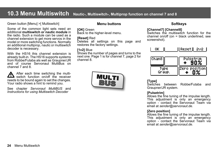# **10.3 Menu Multiswitch Nautic-, Multiswitch-, Multiprop function on channel 7 and 8**

### Green button [Menu] >[ Multiswitch]

Some of the common light sets need an additional **multiswitch or nautic module** in the radio. Such a module can be used as a channel extension to get more servos in the model or more switching functions. Normally an additional multiprop, nautic or multiswitch decoder is necessary.

With the HS16 this channel extension is already built-in. The HS16 supports systems from Robbe/Futaba als well as Graupner/JR and of course Servonaut MultiBus on channel 7 and 8.

After each time switching the multiswitch function on/off the receiver needs to be bound again to set the changes. Your radio shows a hint to remind you.

See chapter *Servonaut MultiBUS* and *Instructions for using Multiswitch Decoder*

### **Menu buttons**

### **[OK]** Green

Back to the higher-level menu.

### **[Reset]** Red

Deletes all settings on this page and restores the factory settings.

### **[1v2]** Blue

Shows the number of pages and turns to the next one. Page 1 is for channel 7, page 2 for channel 8.



### **Softkeys**

### **[Channel7] [Channel8]**

Switches the multiswitch function for the channel on/off (on = black underlined, see screenshot).





### **[Type]**

Switches between Robbe/Futaba and Graupner/JR system.

### **[Pulsetrim]**

Allows the fine tuning of the impulse length. This adjustment is only an emergency option - contact the Servonaut Team via email at *sender@servonaut.de.*

### **[Zero position]**

Allows the fine tuning of the impulse length. This adjustment is only an emergency option - contact the Servonaut Team via email at *sender@servonaut.de.*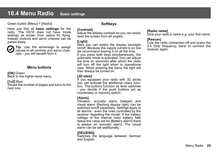# **10.4 Menu Radio Basic settings**

### Green button [Menu] > [Radio]

Here you find all **basic settings** for the radio. The HS16 does not have mode settings as known from radios for flying. Instead controls and servo channel can be paired freely.

**Tip:** Use the advantage to assign names to all controls and servo channels - you will benefit from it.

### **Menu buttons**

**[OK]** Green Back to the higher-level menu.

### **[1v2]** Blue

Shows the number of pages and turns to the next one.

### **Softkeys**

### **[Contrast]**

Adjust the display contrast so you can easily read the screen from all angles.

### **[Light]**

Here you can switch the display backlight on/off. Because the supply current is so low we recommend leaving it on all the time. If you press both keys simultaneously, the automatic mode is activated. You can adjust the time (in seconds) after which the radio will turn off the light when in operational view. When entering the menu the light will then always be turned on.

### **[3D stick]**

If you equipped your radio with 3D sticks you can activate the additional rotary function. The buttons function as level switches - you decide if the push buttons act as momentary or memory switch.

### **[Alarm]**

Vibration, acoustic alarm (beeper) and visual alarm (flashing display light) can be switched on/off separately. Settings apply to all alarms - even the ones controlled by the receiver regarding the model. If the battery voltage of the internal radio battery falls below the value set for [Battery alarm] there is always an acoustic alarm, The visual alarm can be set additionally.

### **[DEU/ENG]** Switches the language between German and English.

### **[Radio name]**

Give your radio a name e.g. your first name.

### **[Rescan]**

Cuts the radio connection off and scans the 2.4 GHz frequency band to connect the receiver again.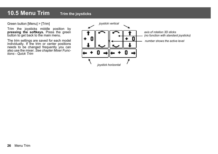# **10.5 Menu Trim Trim the joysticks**

Green button [Menu] > [Trim]

Trim the joysticks middle position by **pressing the softkeys.** Press the green button to get back to the main menu.

The trim settings are saved for each model individually. If the trim or center positions needs to be changed frequently you can also use the mixer. *See chapter Mixer Functions - Quick Trim*



*axis of rotation 3D sticks (no function with standard joysticks)*

**1** *number shows the active level*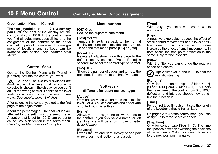Green button [Menu] > [Control]

The **two joysticks** and the **2 x 3 softkey pairs** left and right of the display are the controls of your HS16. In the control menu you find all adjustment possibilities and the assignment of the controls to the servo channel outputs of the receiver. The assignment of joysticks and softkeys can be switched and copied. *See chapter Main Menu*

### **Control Menu**

Get to the Control Menu with [Menu] > [Control]. Actuate the control you want.

**Caution:** The two level switches are  $\sum$  active. The level that is currently selected is shown in the display so you don't adjust the wrong control. Thanks to the level switches all controls can be used three ways. *See chapter Level Switches*

After selecting the control you get to the first page of the adjustments.

About the percentages: The final values are affected by the settings in the servo menu. A control that is set to 100 % can be set to cause 125 % deflection in the servo menu. *See chapter Menu Servo - Examples*

### **Menu buttons**

### **[OK]** Green

Back to the superordinate menu.

### **[Test]** Yellow

Temporarily switches back to the normal display and function to test the softkey pairs. To end the test mode press [OK] or [Info].

### **[Reset]** Red

Resets all adjustments on this page to the default factory settings. Press [Reset] a second time to set the control type to normal.

### **[1v5]** Blue

Shows the number of pages and turns to the next one. The control menu has five pages.

### **Softkeys different for each control type**

### **[Active]**

Only shown when a control is selected for level 2 or 3. You can activate and deactivate a control with this softkey.

### **[Name]**

Allows you to assign one or two names to the control. If you only save a name for left just this one will be shown. *See chapter Enter Names*

### **[Reverse]**

Swaps the left and right softkey of one pair or reverses the direction of a joystick.

### **[Type]**

With the type you set how the control works and reacts.

### **[Expo]**

A negative expo value reduces the effect of small control movements and allows sensitive steering. A positive expo value increases the effect of small movements. In both cases the end point deflection is the same. Only for the joysticks.

### **[Filter]**

With the filter you can change the reaction speed of a control.



**Tip:** A filter value about 1.0 is best for realistic steering.

### **[Runtime]**

Only for the control types [Slider <--->], [Slider <-0->] and [Slider 0--->]: This sets the travel time of the control from 0 to 100% deflection and lets you choose how sensitive the function is.

### **[Time]**

For control type [Impulse]: It sets the length of the keystroke that is transmitted.

On pages 2 to 4 of the control menu you can assign up to three servo channels.

### **[Step time]**

Only for control type [Seq 1…5]. The time that passes between switching the positions of the sequence. With 0 you can only switch to the next position manually.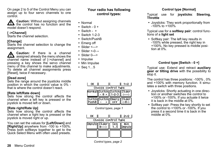On page 2 to 5 of the Control Menu you can assign up to four servo channels to one control.

**Caution:** Without assigning channels the control has no function and the model doesn't respond.

### **[ ->Channel]**

Starts the channel selection.

### **[Change]**

Starts the channel selection to change the assignment.

**A** Caution: If there is a channel  $\angle$  assigned already the menu shows the channel name instead of [->channel] and pressing a key shows the servo channel menu of this channel to make adjustments. To delete all channel assignments press [Reset], twice if necessary.

### **[Dead zone]**

Sets the range around the joysticks middle position in which the control value is 0% that is where the control doesn't react.

### **[Rate left/Rate down]**

Sets how strong the control affects the channel when a left key is pressed or the joystick is moved left or down.

### **[Rate right/Rate Up]**

Sets how strong the control affects the channel when a right key is pressed or the joystick is moved right or up.

You can set the values for **[Left/Down]** and **[Right/Up]** anywhere from -100 to +100%. Press both softkeys together to get to the Quick Select Menu with often used presets.

### **Your radio has following control types:**

- Normal
- $\bullet$  Switch 0 +
- $\bullet$  Switch  $+$
- $\cdot$  Switch 1-2-3
- Switch/PushB
- Emerg off
- $\bullet$  Slider <--->
- Slider <- 0→
- $\bullet$  Slider 0--->
- $\cdot$  Impulse
- Min Impulse
- $\cdot$  Seq 1...5

|         |                                  | 1V2 |
|---------|----------------------------------|-----|
|         | Choose control type              |     |
|         | [Rorma1][Switch][Switch][S1ider] |     |
|         |                                  |     |
| suitehl | Emerel                           |     |
|         |                                  |     |

*Control types, page 1*

| ок |                                       |     | 202    |
|----|---------------------------------------|-----|--------|
|    | Choose control type<br>Impuls  Slider | sea | min    |
|    |                                       |     | npulsi |
|    |                                       |     |        |

*Control types, page 2*

### **Control type [Normal]**

### Typical use for **joysticks**: **Steering, Throttle**

• Joysticks: They work proportionally from  $-100\%$  to  $+100\%$ 

Typical use for a **softkey pair**: control functions of a **light set**

• Softkey pair: The left key results in -100% while pressed, the right key in +100%. No key pressed is middle position at 0%.

### **Control type [Switch - 0 +]**

Typical use: Extend and retract **auxiliary gear or tilting drive** with the possibility to stop it.

The control has three positions: -100% , 0% and +100% with memory function. It simulates a switch with three positions.

- Joysticks: Shortly actuating in one direction or another switches the control to +100% or -100%. If you actuate it twice it is back in the middle at 0%.
- Softkey pair: Press the key shortly to set the control to +100% or -100%. If you press it a second time it is back in the middle at 0%.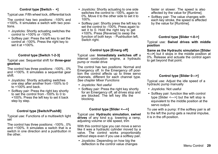### **Control type [Switch - +]**

Typical use: Fifth wheel lock, differential lock

The control has two positions: -100% and +100%. It simulates a switch with two positions.

- Joysticks: Shortly actuating switches the control to +100% or -100%.
- Softkey pair: Press the left key to set the control at -100%. Press the right key to set it at +100%.

### **Control type [Switch 1-2-3]**

### Typical use: Sequential shift for **three-gear gearbox**

The control has three positions: -100% , 0% and +100%. It simulates a sequential gear shift.

- Joysticks: Shortly actuating switches one step after another from -100% to 0 to  $+100\%$  and back.
- Softkey pair: Press the right key shortly to set the control from -100% to 0 to +100%. Press the left key to set it back step by step.

### **Control type [Switch/PushB]**

Typical use: Functions of a multiswitch light set

The control has three positions: -100% , 0% and +100%. It simulates a switch that is a switch in one direction and a pushbutton in the other.

- Joysticks: Shortly actuating to one side switches the control to -100%, again to 0%. Move it to the other side to set it to 100%.
- Softkey pair: Shortly press the left key to set the control to -100%. Press again to set it to 0. Hold the right key to get +100%. Press [Reverse] to swap the function of both keys - Pushbutton left, Switch right.

### **Control type [Emerg off]**

Typical use: **Immediately switches off** a internal combustion engine, a hydraulic pump or model drive

The control has two positions: Normal and Emergency off. In the Emergency off position the control affects up to three servo channels, different for each channel type. *See chapter Mixer Functions*

- Joysticks: Not useful
- Softkey pair: Press the right key shortly for an Emergency off, all drives stop and are blocked. The left key lifts the blocking.

### **Control type [Slider <--->]**

Typical use: **Hydraulic simulation**, **swivel drives** of any kind e.g. lowering a ramp, adjusting volume or idle speed, trim

With this control type you can move a servo like it was a hydraulic cylinder moved by a valve. The control works proportionally without steps even if you use a softkey pair.

• Joysticks: Depending on how big the deflection is the control value changes faster or slower. The speed is also affected by the value for [Runtime].

• Softkey pair: The value changes with each key stroke, the speed is affected by the value for [Runtime].

### **Control type [Slider <-0->]**

Typical use: **Swivel drives with middle position**

**Same as the Hydraulic simulation [Slider <--->**] but it stops in the middle position at 0%. Release and actuate the control again to get beyond that point.

### **Control type [Slider 0--->]**

Typical use: Adjust the idle speed of a hydraulic pump manually

- Joysticks: Not useful
- Softkey pair: function like with control type [Slider <--->] but the left stop is equivalent to the middle position at the servo output.

To use with a pump: If the softkey pair is all to the left the pump gets a neutral impulse, it is in the off-position.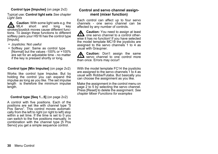### **Control type [Impulse]** (on page 2v2)

Typical use: **Control light sets** *See chapter Light Sets*

**Caution**: With some light sets e.g. the<br>ML4 short and long key short strokes/joystick moves cause different functions. To assign these functions to different softkey pairs your HS16 has the control type [Impuls].

- Joysticks: Not useful
- Softkey pair: Same as control type [Normal] but the values -100% or +100% are set for an adjustable time - no matter if the key is pressed shortly or long.

### **Control type [Min Impulse]** (on page 2v2)

Works like control type Impulse. But by holding the control you can expand the impulse as long as you like. The set impulse length is therefore the minimum impulse length.

### **Control type [Seq 1...5]** (on page 2v2)

A control with five positions. Each of the positions are set like with channel type "5 Pos Servo". This control moves automatically from the left to right (or right to left) stop within a set time. If the time is set to 0 you can switch to the five positions manually. In combination with the channel type [5 Pos Servo] you get a simple sequence control.

### **Control and servo channel assignment (mixer function)**

Each control can affect up to four servo channels - one servo channel can be affected by any number of controls.

**Caution:** You need to assign at least one servo channel to a control otherwise it has no function! If you have selected the model template MC19 the joysticks are assigned to the servo channels 1 to 4 as usual with Graupner.

**Caution:** Don't assign the same **211** servo channel to one control more than once. Errors may occur!

With the model template FC14 the joysticks are assigned to the servo channels 1 to 4 as usual with Robbe/Futaba. But basically you can choose the assignment as you like.

Make the assignment in the control menu on page 2 to 5 by selecting the servo channel. Press [Reset] to delete the assignment. *See chapter Mixer Functions for examples*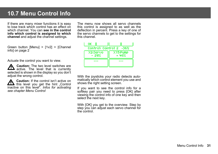# **10.7 Menu Control Info**

If there are many mixer functions it is easy to lose track which control has an effect on which channel. You can **see in the control info which control is assigned to which channel** and adjust the channel settings.

Green button [Menu] > [1v2] > [Channel info] on page 2

Actuate the control you want to view.

**A** Caution: The two level switches are **211** active. The level that is currently selected is shown in the display so you don't adjust the wrong control.

**Caution:** If the control isn't active on  $\sum$  this level you get the hint "Control inactive on this level". *Infos for activating see chapter Menu Control*

The menu now shows all servo channels this control is assigned to as well as the deflection in percent. Press a key of one of the servo channels to get to the settings for this channel.

| OΚ                |                          |  |
|-------------------|--------------------------|--|
|                   | Control: Control 2 --36% |  |
| X2:Servo<br>- 29% | X15-Pump<br>+ 46%        |  |
|                   |                          |  |
|                   |                          |  |

With the joysticks your radio detects automatically which control element you use and shows the right setting screen.

If you want to see the control info for a softkey pair you need to press [OK] after viewing the control info of one key and then select the next key.

With [OK] you get to the overview. Step by step you can adjust each servo channel for the control.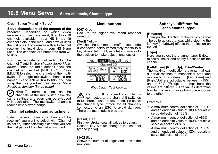### Green Button [Menu] > [Servo]

**Servo channels are all the outputs of the receiver.** Depending on which Zwo4 receiver you use there are 4, 6, 9, 12 or 16 channels available - your HS16 has 16 channel slots in the menu and always uses the first ones. For example with a 4 channel receiver the first 4 slots in your HS16 are used. The channels are numbered from X1 to X16.

You can activate a multiswitch for the channel 7 and 8. *See chapter Menu Multiswitch.* Then the radio doesn't show the channel number but [MULTI 7/8]. Press [MULTI] to select the channels of the multiswitch. The eight multiswitch channels are named X7a to X7h or X8a to X8h. You can swap them as you like. *See chapter Menu Receiver, function [Servo swap]*

**Hint:** The normal channels and the channels of the multiswitch have the same settings and even can be swapped with each other. The multiswitch channels react a little slower though.

### **Channel selection and adjustment**

Select the servo channel (= channel of the receiver) you want to adjust with [Channel selection]. After selecting a channel you see the first page of the channel adjustment.

### **Menu buttons**

### **[OK]** Green

Back to the higher-level menu (channel selection).

### **[Test]** Yellow

Switches the test mode on/off. In test mode a connected servo immediately reacts to a key stroke [left, right, middle] and moves to the position to make adjustments easier.

|                    | Reset   <br>1v2 |  |  |  |
|--------------------|-----------------|--|--|--|
| Channel X3         |                 |  |  |  |
| Trim/Center<br>Rev |                 |  |  |  |
| Left/Down          | Right/l         |  |  |  |

*Filled black = Test Mode on*

**Caution:** If a speed controller is **211** connected to the channel it switches to full throttle when in test mode. So select the channel type [motor] for all channels connected to an ESC to avoid damage. There the test mode is blocked.

### **[Reset]** Red

First key stroke: sets all values to default Second key stroke: changes the channel type to [servo]

### **[1v2]** Blue

Shows the number of pages and turns to the next one.

### **Softkeys - different for each channel type:**

### **[Reverse]**

Changes the direction of the servo channel - helps to adjust that e.g. while steering the left key [left/down] affects the deflection on the left.

### **[Type]**

Here you select the channel type. It determines all mixer and safety functions for the channel.

### **[Left/Down]**,**[Right/Up]**, [**Trim/Center]**

The maximum deflection prevents that e.g. a servo reaches a mechanical stop and overloads. The values for [Left/Down] and [Right/Up] are adjustable between -150% and +150% (Exception pump: here the values are different). The values determine how far the servo moves from one endpoint to the other.

Examples:

- $\bullet$  A maximum control deflection of  $+100\%$ and an endpoint value of 100% equals a servo deflection of 100%.
- A maximum control deflection of +80% and an endpoint value of 100% equals a servo deflection of 80%.
- A maximum control deflection of +100% and an endpoint value of 120% equals a servo deflection of 120%.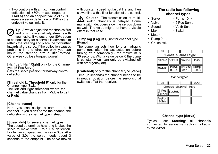• Two controls with a maximum control deflection of +70% mixed (together +140%) and an endpoint value of 120% equals a servo deflection of 120% - the endpoint value limits it.

**Tip:** Always adjust the mechanics first (V and only make small adjustments with your radio. If values under 80% seem to be necessary for a servo it is advisable to rethink the steering and place the rod further inwards at the servo. If the deflection causes problems in one direction only you can mount the steering arm a little rotated. Otherwise you lose torque / power!

**[Half Left, Half Right]** only for the Channel type [5 Pos Servo] Sets the servo position for halfway control deflection.

**[Threshold L, Threshold R]** only for the Channel type [Switch] The left and right threshold where the channel value changes from Middle to Left or Right

### **[Channel name]**

Here you can assign a name to each channel. If you didn't name the channel the radio shows the channel type instead.

**[Speed <s>]** for several channel types The speed determines how long it takes the servo to move from 0 to 100% deflection. For full servo speed set the value 0,0s. At a value of 3,0s the servo needs about 3 seconds to the endpoint. The servo moves with constant speed not fast at first and then slower like with a filter function of the control.

**Caution:** The transmission of multi- $\sum$  switch channels is delayed. Some multiswitch decoders slow the servos down as well. The value might not have a visible effect in that case.

**Pump lag [Lag <s>]** just for channel type [Pump]

The pump lag sets how long a hydraulic pump runs after the last actuation before turning off automatically - the maximum is 30 seconds. With a value below 0 the pump is constantly on (can only be switched off with emergency off).

**[Switchoff]** only for the channel type [Valve] Time (in seconds) the channel needs to be in neutral position before the servo signal switches off at the receiver.

### **The radio has following channel types:**

- $\cdot$  Servo  $\cdot$  Pump  $-0\rightarrow$
- Valve 5 Pos Servo
- Sound Voith Schn.
	-
- Max Switch
- Motor
- Pump  $0 \rightarrow$
- ü Cruise ctrl.

| oκ    |      |                           |      |
|-------|------|---------------------------|------|
|       |      | Choose channel type       |      |
|       |      | Servo  Va1ve  Sound   Max |      |
| Motor | Pump | Cruise  <br>otri.         | Pump |

*Channel types*



### **Channel type [Servo]**

Typical use: **Steering**; all channels connected to servos (exception hydraulic valve servo)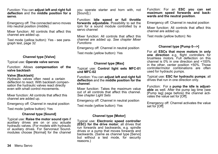Function: You can **adjust left and right full deflection** and the **middle position for a servo**.

Emergency off: The connected servo moves into neutral position (middle).

Mixer function: All controls that affect this channel are added up.

Test mode (yellow button): Yes - see paragraph test, page 32

### **Channel type [Valve]**

Typical use: **Operate valve servos**

Function: Allows **compensation of the valve backlash**

### **Valve [Backlash]**

Hydraulic valves often need a certain deflection to react. With backlash compensation the hydraulic valves react directly even with small control movements.

Mixer function: All controls that affect this channel are added up.

Emergency off: Channel in neutral position

Test mode (yellow button): Yes

### **Channel type [Sound]**

Typical use: **Raise the motor sound rpm** if auxiliary drives are on or you actuate hydraulic valves. (For models with hydraulic or auxiliary drives. For Servonaut Soundmodules choose [Normal] for the channel

Function: **Idle speed or full throttle forwards adjustable.** Possibility to set the rpm for a sound module controlled by a servo channel

Mixer function: All controls that affect this channel are added up. *See chapter Mixer Functions*

Emergency off: Channel in neutral position

Test mode (yellow button): Yes

### **Channel type [Max]**

Typical use: **Control light sets MFC-01 und MFC-02**

Function: You can **adjust left and right full deflection** and the **middle position for the channel**.

Mixer function: Takes the maximum value out of all controls that affect this channel. *See chapter Light Sets*

Emergency off: Channel in neutral position

Test mode (yellow button): Yes

### Function: For an **ESC you can set maximum speed forwards and backwards and the neutral position**.

Emergency off: Channel in neutral position

Mixer function: All controls that affect this channel are added up.

Test mode (yellow button): No

### **Channel type [Pump 0–->]**

For all **ESCs that move motors in only one direction** e.g. flight controllers for brushless motors. Full deflection on this channel is 0% in one direction and +100% in the other, center position +50%. Those controller/motor combinations are often used for hydraulic pumps.

Typical use: **ESC for hydraulic pumps**; all drives that run in one direction only.

Function: For a **pump the idle is adjustable** as well. After the pump lag time (see [Pump lag] page before) the channel activates the value set for [Off].

Emergency off: Channel activates the value set for [Off]

### **Channel type [Motor]**

Typical use: **Electronic speed controller (ESC) for the drive motor**; all drives that run forwards and backwards, e.g. spindle drives or a pump that moves forwards and backwards. (Same as channel type [Servo] but without a test mode, for security reasons.)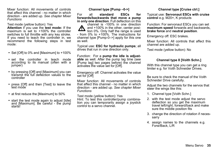Mixer function: All movements of controls that affect this channel - no matter in which direction - are added up. *See chapter Mixer Functions*

Test mode (yellow button): Yes **Attention** if you use the **test mode:** If the maximum is set to  $+100\%$  the controller switches to full throttle with any key stroke. If you need to teach the controller in, we recommend the following steps in test mode:

- Set IOffI to 0% and [Maximum] to +100%
- ü set the controller in teach mode according to its manual (often with a jumper)
- by pressing [Off] and [Maximum] you can transmit the full deflection values to the controller
- press [Off] and then [Test] to leave the test mode
- at first reduce the [Maximum] to 50%
- start the test mode again to adjust [Idle] and [Maximum]. Be careful - the pump starts!

### **Channel type [Pump –0->]**

For all **standard ESCs for forwards/backwards that move a pump in only one direction**. Full deflection on this

channel is -100% in one direction and +100% in the other, center position 0%. Only half the range is used - from 0% to +100%. The instructions for channel type [Pump-0–>] apply for this one as well.

Typical use: **ESC for hydraulic pumps**; all drives that run in one direction only.

Function: For a **pump the idle is adjustable** as well. After the pump lag time (see [Pump lag] two pages before) the channel activates the value set for [Off].

Emergency off: Channel activates the value set for **[Off]** 

Mixer function: All movements of controls that affect this channel - no matter in which direction - are added up. *See chapter Mixer Functions*

Test mode (yellow button): Yes Hint: To test this controller/pump combination you can temporarily assign a joystick control to a servo channel.

### **Channel type [Cruise ctrl.]**

Typical use: **Servonaut ESCs with cruise control** e.g. M20+, K products

Function: For servonaut ESCs you can set **maximum speed** forwards and backwards, **brake force** and **neutral position**.

Emergency off: ESC brakes.

Mixer function: All controls that affect this channel are added up.

Test mode (yellow button): No

### **Channel type 8 [Voith Schn.]**

With this channel type you can get a ring limiter e.g. for Voith Schneider Drives.

Be sure to check the manual of the Voith Schneider Drive carefully.

Adjust the two channels for the servos that steer the wings like this:

- 1. Channel type [Voith Schn.]
- 2. with the test mode adjust the servo deflection so you get the maximum travel left/right, forward/back and make sure the middle position fits
- 3. change the direction of rotation if necessarry
- 4. assign names to the channels e.g. Forw/Back, L/R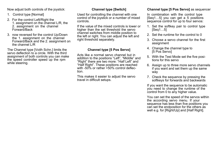Now adjust both controls of the joystick:

- 1. Control type [Normal]
- 2. For the control Left/Right the 1. assignment on the channel L/R, the 2. assignment on the channel Forward/Back
- 3. now reversed for the control Up/Down the 1. assignment on the channel Forward/Back and the 2. assignment on the channel  $I/R$

The Channel type [Voith Schn.] limits the servo deflection to a circle. With the third assignment of both controls you can make the speed controller speed up the rpm while steering.

### **Channel type [Switch]**

Used for controlling the channel with one control of the joystick or a number of mixed controls.

If the value of the mixed controls is lower or higher than the set threshold the servo channel switches from middle position to the left or right. You can adjust the left and right threshold separately.

### **Channel type [5 Pos Servo]**

Acts like a normal servo channel but in addition to the positions "Left", "Middle" and "Right" there are two more: "Half Left" and "Half Right". These positions are reached with -50% or rather +50% control deflection.

This makes it easier to adjust the servo travel in difficult setups.

### **Channel type [5 Pos Servo]** as sequencer

In combination with the control type [Seq1...5] you can get a 5 positions sequence control for up to four servos:

- 1. Set the softkey pair to control type [Seq1…5]
- 2. Set the runtime for the control to 0
- 3. Choose a servo channel for the first assignment
- 4. Change the channel type to [5 Pos Servo]
- 5. With the Test Mode set the five positions for this servo
- 6. Assign up to three more servo channels if you want and set them up the same way
- 7. Check the sequence by pressing the softkeys for forwards and backwards

If you want the sequence to be automatic you need to change the runtime of the control from 0 to any higher value.

You can set the speed of the servos within the according servo menu. If your sequence has less than five positions you can set the endposition for the others as well e.g. for [Right/Up] and [Half Right].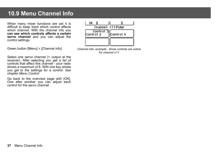# **10.9 Menu Channel Info**

When many mixer functions are set it is difficult to keep track which control affects which channel. With the channel info you **can see which controls affects a certain servo channel** and you can adjust the control settings.

Green button [Menu] > [Channel info]

Select one servo channel (= output at the receiver). After selecting you get a list of controls that affect this channel - your radio shows a maximum of 8. With one key stroke you get to the settings for a control. *See chapter Menu Control*

Go back to the overview page with [OK]. One after another you can adjust each control for the servo channel.



*Channel info, example - those controls are active for channel x11*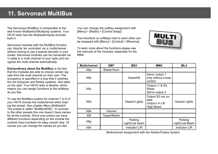# **11. Servonaut MultiBus**

The Servonaut MultiBus is comparable to the well known Multiswitch/Multiprop systems. Your HS16 radio has the Multiswitch/prop encoder built in.

Servonaut modules with the MultiBus function can directly be controlled via a multichannel without having to use a special decoder in your model. Servonaut modules can be connected via Y-cable to a multi channel of your radio and recognize the multi channel automatically.

**Extraordinary about the MultiBus** is the fact that the modules are able to choose certain signals from the multi channel on their own. The occupancy is specified in a way that it matches the old Graupner and Robbe systems. *See table on the right.* Your HS16 radio is flexible, which means you can assign functions to the softkeys as you like.

To use the MultiBus system for channel 7 or 8 of your HS16 choose the multichannel when loading the preset. *See chapter Menu Multiswitch* The preset is called "MultiBusENG". In contrast to the other presets this one doesn't have names for all the controls. Since one control can have different functions depending on the module the controls have numbers for easy overall view. Of course you can change the names as you like.

You can change the softkey assignment with [Menu] > [Radio] > [Control Swap].

Two functions on softkeys next to each other can be swapped with [Menu] > [Control] > [Reverse].

To learn more about the functions please see the manuals of the modules, especially for the MM4.



| <b>Multichannel</b> | SM7           | M24                       | MM4                                                      | ML4                       |
|---------------------|---------------|---------------------------|----------------------------------------------------------|---------------------------|
| X8a                 | Starter/Horn  |                           |                                                          |                           |
| X8b                 |               | Gearshift                 | Servo output 1<br>only without cruise<br>control         |                           |
| X8c                 |               |                           | Output L1 & S2,<br>Wiper<br>Servo output 2               |                           |
| X8d                 |               | <b>Hazard Lights</b>      | Output S3 not us-<br>able<br>Output L4 z.B.<br>High Beam | <b>Hazard Lights</b>      |
| X8e                 | Volume        |                           |                                                          |                           |
| X8f                 | Tipper/Martin |                           |                                                          |                           |
| X8g                 |               | Parking<br>Light/Low beam |                                                          | Parking<br>Light/Low Beam |
| X8h                 |               | Indicator L/R             |                                                          | Indicator L/R             |

*Multichannel Assignment with the Robbe/Futaba System*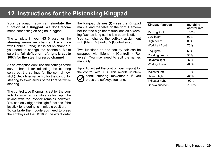# **12. Instructions for the Pistenking Kingpad**

Your Servonaut radio can **simulate the function of a Kingpad**. We don't recommend connecting an original Kingpad.

The template in your HS16 assumes the steering servo on channel 1 (common with Robbe/Futaba). If it is not on channel 1 you need to change the channels. Make sure the **full deflection left/right is set to 100% for the steering servo channel**.

As an exception don't use the settings of the servo channel for adjusting the steering servo but the settings for the control (joystick). Set a filter value > 0 for the control for steering to avoid errors of the light set while steering.

The control type [Normal] is set for the controls to avoid errors while setting up. The linking with the joystick remains however. You can only trigger the light functions if the joystick for steering is in middle position. To calibrate the module you need to press the softkeys of the HS16 in the exact order the Kingpad defines (!) - see the Kingpad manual and the table on the right. Remember that the high beam functions as a warning flash as long as the low beam is off. You can change the softkey assignment with [Menu] > [Radio] > [Control swap].

Two functions on one softkey pair can be swapped with [Menu] > [Control] > [Reverse]. You may need to edit the names manually.

Tipp: At last set the control type [Impuls] for the control with 0,5s. This avoids unintentional steering movements if you press the softkeys too long.

| <b>Kingpad function</b> | matching<br>control rate |
|-------------------------|--------------------------|
| Parking light           | 100%                     |
| Low beam                | 90%                      |
| High beam               | 80%                      |
| Worklight front         | 70%                      |
| Fog lights              | 60%                      |
| Rotating beacon         | 50%                      |
| Reverse light           | $-50%$                   |
| Worklight rear          | $-60%$                   |
| Indicator left          | $-70%$                   |
| Hazard light            | $-80%$                   |
| Indicator right         | $-90%$                   |
| Special function        | $-100%$                  |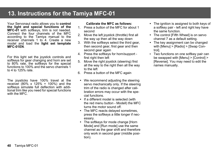# **21. You 13. Instructions for the Tamiya MFC-01**

Your Servonaut radio allows you to **control the light and special functions of the MFC-01** with softkeys, trim is not needed. Connect the four channels of the MFC according to the Tamiya manual to the receiver channels 1 to 4. Create a new model and load the **light set template MFC-01EN**.

For this light set the joystick controls and softkeys for gear changing and horn are set to 80% rate, the softkeys for the special functions to 100% and the servo channels 1 to 4 to 125% rate.

The joysticks have 100% travel at the receiver (80% x 125% = 100%) and the softkeys simulate full deflection with additional trim like you need for special functions with the MFC.

### **Calibrate the MFC as follows:**

- 1. Press a button of the MFC for about 1 second
- 2. Move the left joystick (throttle) first all the way up then all the way down
- 3. With the softkeys select the third gear, then second gear, first gear and then second gear again
- 4. Press the softkeys for horn/support first right then left
- 5. Move the right joystick (steering) first all the way to the right then all the way to the left
- 6. Press a button of the MFC again
	- We recommend adjusting the steering servo mechanically only. If the steering trim of the radio is changed after calibration errors may occur with the special functions.
	- If a different model is selected (with the red menu button - Modell) the MFC turns the motor sound off.
	- The MFC reacts delayed sometimes, press the softkeys a little longer if necessary.
	- The softkeys for mode change [Horn] Mode] and [Run mode] use the same channel as the gear shift and therefore only work in second gear (middle position).
- The ignition is assigned to both keys of a softkey pair - left and right key have the same function.
- The control [Fifth Wheel] is on servo channel 7 as a default setting.
- The key assignment can be changed with [Menu] > [Radio] > [Swap Control].
- Two functions on one softkey pair can be swapped with [Menu] > [Control] > [Reverse]. You may need to edit the names manually.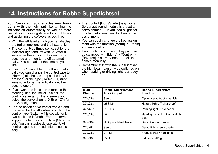# **14. Instructions for Robbe Superlichtset**

Your Servonaut radio enables **new functions with the light set** like turning the indicator off automatically as well as more flexibility in choosing different control types and assigning the softkeys as you like.

- With the left level switch you can display the trailer functions and the hazard light.
- The control type [Impulse] ist set for the indicator right and left with 3s. After a keystroke the indicator flashes for 3 seconds and then turns off automatically. You can adjust the time as you like.
- If you don't want it to turn off automatically you can change the control type to [Normal] (flashes as long as the key is pressed) or the type [Switch -0+] (first keystroke turns the indicator on, the second one off).
- If you want the indicator to react to the steering use the mixer: Select the control settings for the steering and select the servo channel X8h or X7h for the 2. assignment.
- For the option servo tractor vehicle and the servo for the fifth wheel coupling the control type [Switch +-] is set with only two positions left/right. For the servo support trailer the control type [Slider] is set. You can steplessly operate it. All control types can be adjusted if necessary.
- The control [Horn/Starter] e.g. for a Servonaut sound module is preset to servo channel 7. If you load a light set on channel 7 you need to change the assignment.
- You can easily change the key assignment with the function [Menu] > [Radio] > [Swap control].
- Two functions on one softkey pair can be swapped with [Menu] > [Control] > [Reverse]. You may need to edit the names manually.
- Remember that with the Superlichtset the high beam can only be switched on when parking or driving light is already on.

| Multi<br>Channel | <b>Robbe Superlichtset</b><br><b>Truck Output</b> | <b>Robbe Superlichtset</b><br><b>Function</b> |
|------------------|---------------------------------------------------|-----------------------------------------------|
| X7a/X8a          | Servo                                             | Option servo tractor vehicle                  |
| X7b/X8b          | L5 & L6                                           | Hazard light / Trailer on/off                 |
| X7c/X8c          | L1 & L8                                           | Parking light / Low beam                      |
| X7d/X8d          | L8                                                | Headlight warning flash / High<br>beam        |
| X7e/X8e          | at Superlichtset Trailer                          | Servo Support Trailer                         |
| X7f/X8f          | Servo                                             | Servo fifth wheel coupling                    |
| X7g/X8g          | 17/13                                             | Front flasher / Fog lamp                      |
| X7h/X8h          | L5/L6                                             | Indicator left/right                          |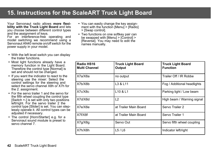# 15. Instructions for the ScaleART Truck Light Board

Your Servonaut radio allows **more flexibility with the Truck Light Board** and lets you choose between different control types and the assignment of keys.

For an interference-free operating and model switching we recommend using a Servonaut AN40 remote on/off switch for the power supply in your model.

- With the left level switch you can display the trailer functions.
- Most light functions already have a memory function in the Light Board. Therefore the control type [Normal] is set and should not be changed.
- If you want the indicator to react to the steering use the mixer: Select the control settings for the steering and select the servo channel X8h or X7h for the 2. assignment.
- For the servo trailer 1 and the servo for the fifth wheel coupling the control type [Switch +-] is set with only two positions left/right. For the servo trailer 2 the control type [Slider] is set. You can steplessly operate it. All control types can be adjusted if necessary.
- The control [Horn/Starter] e.g. for a Servonaut sound module is preset to servo channel 7.
- You can easily change the key assignment with the function [Menu] > [Radio] > [Swap control].
- Two functions on one softkey pair can be swapped with [Menu] > [Control] > [Reverse]. You may need to edit the names manually.

| Radio HS16<br><b>Multi Channel</b> | <b>Truck Light Board</b><br><b>Truck Light Board</b><br><b>Function</b><br>Output |                             |  |
|------------------------------------|-----------------------------------------------------------------------------------|-----------------------------|--|
| X7a/X8a                            | no output                                                                         | Trailer Off / IR Robbe      |  |
| X7b/X8b                            | L3 & L11                                                                          | Fog / Additional headlights |  |
| X7c/X8c                            | L <sub>10</sub> & L <sub>1</sub>                                                  | Parking light / Low beam    |  |
| X7d/X8d                            | L2                                                                                | High beam / Warning signal  |  |
| X7e/X8e                            | at Trailer Main Board                                                             | Servo Trailer 2             |  |
| X7f/X8f                            | at Trailer Main Board                                                             | Servo Trailer 1             |  |
| X7q/X8q                            | Servo Out                                                                         | Servo fifth wheel coupling  |  |
| X7h/X8h                            | L5/L6                                                                             | Indicator left/right        |  |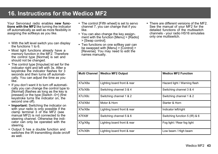# **16. Instructions for the Wedico MF2**

Your Servonaut radio enables **new functions with the MF2** like turning the indicator off automatically as well as more flexibility in assigning the softkeys as you like.

- With the left level switch you can display the functions 1 to 6.
- Most light functions already have a memory function in the MF2. Therefore the control type [Normal] is set and should not be changed.
- The control type [Impulse] ist set for the indicator right and left with 3s. After a keystroke the indicator flashes for 3 seconds and then turns off automatically. You can adjust the time as you like.
- If you don't want it to turn off automatically you can change the control type to [Normal] (flashes as long as the key is pressed) or the type [Switch -0+] (first keystroke turns the indicator on, the second one off).
- **Important:** Switching the indicator on with your radio is only possible if the clamp terminal 3 of the MF2 (see manual MF2) is not connected to the steering channel. Otherwise the indicator can only be operated with the steering.
- Output 5 has a double function and switches the IR transmitting diode on/off as well.
- The control [Fifth wheel] is set to servo channel 7, you can change that if you like.
- You can also change the key assignment with the function [Menu] > [Radio] > [Swap control].
- Two functions on one softkey pair can be swapped with [Menu] > [Control] > [Reverse]. You may need to edit the names manually.
- There are different versions of the MF2. See the manual of your MF2 for the detailed functions of the multiswitch channels - your radio HS16 simulates only one multiswitch.

|         | Multi Channel   Wedico MF2 Output | <b>Wedico MF2 Function</b>    |
|---------|-----------------------------------|-------------------------------|
| X7a/X8a | Lighting board front & rear       | Hazard light / Warning flash  |
| X7b/X8b | Switching channel 3 & 4           | Switching channel 3 & 4       |
| X7c/X8c | Switching channel 1 & 2           | Switching channel 1 & 2       |
| X7d/X8d | Motor & Horn                      | Starter & Horn                |
| X7e/X8e | Lighting board front & rear       | Indicator left/right          |
| X7f/X8f | Switching channel 5 & 6           | Switching function 5 (IR) & 6 |
| X7g/X8g | Lighting board front & rear       | Fog light / Rear fog light    |
| X7h/X8h | Lighting board front & rear       | Low beam / High beam          |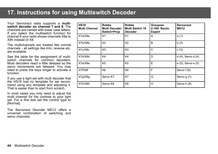# **17. Instructions for using Multiswitch Decoder**

Your Servonaut radio supports a **multiswitch decoder on channel 7 and 8.** The channels are named with lower case letters. If you select the multiswitch function for channel 8 your radio shows channels X8a to X8h instead of X8.

The multichannels are treated like normal channels - all settings like trim, reverse etc. are available.

See the table for the assignment of multiswitch channels for common decoders. Most decoders react a little delayed so the servo movements are delayed. You may need to press the keys longer to activate a function.

If you use a light set with multi decoder that the HS16 has no template for we recommend using any template and adjusting it. That is easier than to start from scratch.

In most cases you only need to adjust the multi channel for the controls to your light set. For a first test set the control type to [Normal].

The Servonaut Decoder MD12 offers a universal combination of switching and servo channels.

| <b>HS16</b><br><b>Multi Channel</b> | Robbe<br><b>Multi Decoder</b><br>Switch+Prop | Robbe<br><b>Multi Switch 16</b><br><b>Decoder</b> | Graupner<br>2-16K Nautic<br><b>Expert</b> | <b>Servonaut</b><br><b>MD12</b> |
|-------------------------------------|----------------------------------------------|---------------------------------------------------|-------------------------------------------|---------------------------------|
| X7a/X8a                             | K1                                           | K1                                                | A                                         | a(1)                            |
| X7b/X8b                             | K2                                           | K <sub>2</sub>                                    | B                                         | b(2)                            |
| X7c/X8c                             | K <sub>3</sub>                               | K <sub>3</sub>                                    | C                                         | C(3)                            |
| X7d/X8d                             | K4                                           | K4                                                | D                                         | $d(4)$ , Servo $d(4)$           |
| X7e/X8e                             | K <sub>5</sub>                               | K <sub>5</sub>                                    | E                                         | e (5), Servo e (5)              |
| X7f/X8f                             | K6                                           | K <sub>6</sub>                                    | F                                         | Servo f (6)                     |
| X7g/X8g                             | Servo K7                                     | K7                                                | G                                         | Servo g (7)                     |
| X7h/X8h                             | Servo K8                                     | K <sub>8</sub>                                    | H                                         | Servo h (8)                     |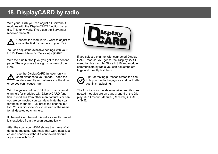# **18. DisplayCARD by radio**

With your HS16 you can adjust all Servonaut modules with the DisplayCARD function by radio. This only works if you use the Servonaut receiver Zwo4RX9.



Connect the module you want to adjust to one of the first 8 channels of your RX9.

You can adjust the available settings with your HS16. Press [Menu] > [Receiver] > [CARD]

With the blue button [1v4] you get to the second page. There you see the eight channels of the RX9.



Use the DisplayCARD function only in short distance to your model. Place the model carefully so that errors of the drive or servos can't cause harm.

With the yellow button [SCAN] you can scan all channels for modules with DisplayCARD function. If modules from other manufacturers or servos are connected you can deactivate the scan for these channels - just press the channel button. Your radio shows "- - -" instead of the name for all deselected channels.

If channel 7 or channel 8 is set as a multichannel it is excluded from the scan automatically.

After the scan your HS16 shows the name of all detected modules. Channels that were deactivated and channels without a connected module are shown with  $- -$ .



If you select a channel with connected Display-CARD module you get to the DisplayCARD menu for this module. Since HS16 and module communicate by radio you can adjust the settings and directly test them.

Tip: For testing purposes switch the controls you use to the joystick and back after you finish adjusting.

The functions for the slave receiver and its connected modules are on page 3 and 4 of the DisplayCARD menu: [Menu] > [Receiver] > [CARD]  $>$  [1v4].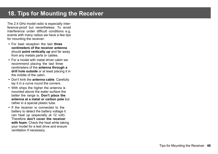# **18. Tips for Mounting the Receiver**

The 2.4 GHz model radio is especially interference-proof but nevertheless: To avoid interference under difficult conditions e.g. events with many radios we have a few tips for mounting the receiver:

- ü For best reception the last **three centimeters of the receiver antenna** should **point vertically up** and far away from any metals parts or cables.
- ü For a model with metal driver cabin we recommend placing the last three centimeters of the **antenna through a drill hole outside** or at least placing it in the middle of the cabin.
- ü Don't kink the **antenna cable**. Carefully lay it in a curve round the corners.
- With ships the higher the antenna is mounted above the water surface the better the range is. **Don't place the antenna at a metal or carbon pole** but rather in a special plastic tube.
- If the receiver is connected to the battery to detect the battery voltage it can heat up (especially at 12 volt). Therefore **don't cover the receiver with foam**. Check the heat while taking your model for a test drive and ensure ventilation if necessary.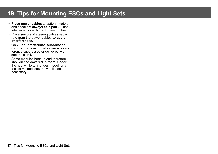# **19. Tips for Mounting ESCs and Light Sets**

- ü **Place power cables** to battery, motors and speakers **always as a pair** - + and intertwined directly next to each other.
- Place servo and steering cables separate from the power cables **to avoid interferences.**
- ü Only **use interference suppressed motors**. Servonaut motors are all interference suppressed or delivered with suppression kit.
- Some modules heat up and therefore shouldn't be **covered in foam**. Check the heat while taking your model for a test drive and ensure ventilation if necessary.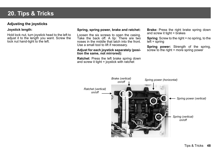# **20. Tips & Tricks**

### **Adjusting the joysticks**

### **Joystick length:**

Hold lock nut, turn joystick head to the left to adjust it to the length you want. Screw the lock nut hand-tight to the left.

### **Spring, spring power, brake and ratchet:**

Loosen the six screws to open the casing. Take the back off. A tip: There are two noses in the middle that latch into the front. Use a small tool to lift if necessary.

### **Adjust for each joystick separately (position the same, not mirrored):**

**Ratchet**: Press the left brake spring down and screw it tight = joystick with ratchet

**Brake:** Press the right brake spring down and screw it tight = brakes

**Spring:** Screw to the right = no spring, to the left = spring

**Spring power:** Strength of the spring, screw to the right = more spring power

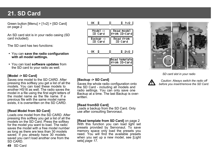# **21. SD Card**

Green button [Menu] > [1v2] > [SD Card] on page 2

An SD card slot is in your radio casing (SD card included).

The SD card has two functions:

- ü You can **save the radio configuration with all model settings.**
- ü You can load **software updates** from the SD card to your radio as well.

### **[Model -> SD Card]**

Saves one model to the SD CARD. After pressing this softkey you get a list of all the models<sup>You can load these models to</sup> another HS16 as well. The radio saves the model in a file using the first eight letters of the model name as the file name. If a previous file with the same model name exists, it is overwritten on the SD CARD.

### **[Read Model from SD Card]**

**49** SD Card

Loads one model from the SD CARD. After pressing this softkey you get a list of all the models on the SD Card. Press the softkey for the model you want to load. The radio saves the model with a free model number as long as there are less than 30 models saved. If you already have 30 models saved you can't load another one from the SD CARD.



| Model -><br>SD Card  | Read model<br>From SD-Card |
|----------------------|----------------------------|
| Backup -><br>SD Cand | Read from<br>SD Card       |
| oк                   | - 2V2 - I                  |





### *SD card slot in your radio*



*Caution: Always switch the radio off before you insert/remove the SD Card.*

### **[Backup -> SD Card]**

Saves the whole radio configuration onto the SD Card - including all models and radio settings. You can only save one Backup at a time. The last Backup is overwritten.

### **[Read fromSD Card]**

Loads a backup from the SD Card. Only use after consulting Servonaut.

**[Read template from SD Card]** on page 2 With this function you can load light set presets provided by Servonaut. To save memory space only load the presets you need. You will find the available presets when you set up a new model, see [Light sets] *page 17.*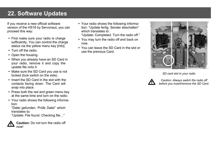# **22. Software Updates**

If you receive a new official software version of the HS16 by Servonaut, you can proceed this way:

- First make sure your radio is charge sufficiently. You can control the charge status via the yellow menu key [Info].
- Turn off the radio.
- Open the housing.
- When you already have an SD Card in your radio, remove it and copy the update file onto it.
- Make sure the SD Card you use is not locked (lock switch on the side).
- Insert the SD Card in the slot with the contacts facing down. The Card will snap into place.
- Press both the red and green menu key at the same time and turn on the radio.
- Your radio shows the following information:

"Datei gefunden. Prüfe Datei" which translates to:

"Update: File found. Checking file…"

**Caution:** Do not turn the radio off now!

• Your radio shows the following information: "Update fertig. Sender abschalten" which translates to:

"Update: Completed. Turn the radio off."

- You may turn the radio off and back on now.
- ü You can leave the SD Card in the slot or use the previous Card.



*SD card slot in your radio*



*Caution: Always switch the radio off before you insert/remove the SD Card.*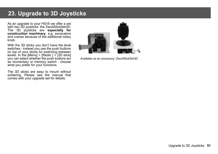# **23. Upgrade to 3D Joysticks**

As an upgrade to your HS16 we offer a set with two 3D joysticks: the Zwo4StickSet3D. The 3D joysticks are **especially for construction machinery**, e.g. excavators and cranes because of the additional rotary knob.

With the 3D sticks you don't have the level switches - instead you use the push buttons on top of your sticks for switching between levels. In the [Menu]  $>$  [Radio ]  $>$  [3D stick] you can select whether the push buttons act as momentary or memory switch - choose what you prefer for your functions.

The 3D sticks are easy to mount without soldering. Please see the manual that comes with your upgrade set for details.



*Available as an accessory: Zwo4StickSet3D*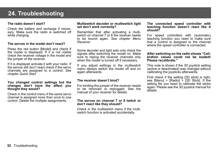# **24. Troubleshooting**

### **The radio doesn't start?**

Check the battery and recharge if necessary. Make sure the radio is switched off while charging.

### **The servos in the model don't react?**

Press the red button [Model] and check if the model is displayed. If it is not visible check the receiver voltage in the model and the jumper of the receiver.

If it is displayed activate it with your radio. If the servos still don't react check if the servo channels are assigned to a control. *See chapter Quick Start*

### **You changed control settings but the changes don't have the affect you thought they would?**

Check in the control menu if the same servo channel is assigned more than once to one control. Delete the multiple assignments.

### **Multiswitch decoder or multiswitch light set don't work correctly?**

Remember that after activating a multiswitch on channel 7 or 8 the receiver needs to be bound again. *See chapter Menu Receiver*

Some decoder and light sets only check the signals after switching the model on. Make sure to replug the receiver channels only when the model is turned off if necessary.

If you adjust settings in the multiswitch menu always switch the model off and on again afterwards.

### **The receiver doesn't bind?**

For binding the jumper of the receiver needs to be removed or replugged. See the manual of your receiver for details.

### **The servos on channel 7 or 8 twitch or don't react like they should?**

Check in the multiswitch menu if the multiswitch function is activated accidentally.

### **The connected speed controller with teaching function doesn't react like it should?**

For speed controllers with (automatic) teaching function you need to make sure that a control is assigned to the channel where the speed controller is connected.

### **After switching on the radio shows "Calibration values could not be loaded! Please recalibrate."**

This note is shown if the 3D joystick setting (active or deactivated) was changed without calibrating the joysticks afterwards.

First check if the setting [3D stick] is right, see [Menu] > [Radio]  $>$  [3D Stick]. If the setting fits you need to calibrate the sticks again. Please see the 3D joystick manual for details.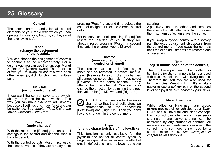# **25. Glossary**

### **Control**

The term control stands for all control elements of your radio with which you can operate it - joysticks, buttons, softkeys (not the level switches).

### **Mode (change the assignment of the joysticks)**

You can choose the assignment of controls to channels at the receiver freely. For a quick swap you can use the function [Menu] > [Radio] > [Control swap]. This functions allows you to swap all controls with each other even joystick function with softkey pair.

### **Dual-Rate (switch control travel)**

If you want the control travel to be switchable you can use the level switches. This way you can make extensive adjustments because all settings and mixer functions can be switched. *See chapter Tips&Tricks and Mixer Functions - Dual Rate*

### **Reset (undo changes)**

With the red button [Reset] you can set all settings in the control and channel menus back to default.

With the control outputs [Reset] first resets the inserted values. If they are already reset

pressing [Reset] a second time deletes the channel assignment for the current control output.

For the servo channels pressing [Reset] first resets the inserted values. If they are already reset pressing [Reset] a second time sets the channel type to [Servo].

### **Reverse (reverse direction of a control or channel)**

The direction that a control affects e.g. a servo can be reversed in several menus. Select [Reverse] for a control and it changes all connected servo channels. If you select [Reverse] for the servo channel it only affects this one channel. You can also change the direction by adjusting the direction values for [Left/Down] and [Right/Up].

**Tip:** Adjust the direction for the servo channel so that the direction/function corresponds to the description [Left/Down] and [Right/Up]. Then you don't have to change it in the control menu.

### **Expo (change characteristics of the joysticks)**

This function is only available for the joysticks and not for all control types. A negative expo value decreases the effect of small deflections and allows sensitive

### steering.

A positive value on the other hand increases the effect of small deflections. In both cases the maximum deflection stays the same.

If you swap a joystick control with a softkey pair the expo adjustment disappears from the control menu. If you swap the controls back the expo adjustments are restored and active again.

### **Trim**

### **(adjust middle position of the controls)**

The trim, the adjustment of the middle position for the joystick channels is far less used with truck models than with flying models. Therefore the softkeys are also used for trimming. See [Menu] > [Trim]. It's an alternative to use a softkey pair or the second level of a joystick. *See chapter Tips&Tricks*

### **Mixer Functions**

While radios for flying use many preset mixers (not useful for vehicles) your Zwo4 HS16 has a universal and clear concept. Each control can affect up to three servo channels - one servo channel can be controlled by any number of controls. All necessary adjustments are accessible in the control menu so there is no need for a special mixer menu. *See examples in chapter Mixer Functions*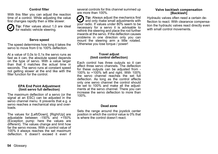### **Control filter**

With this filter you can adjust the reaction time of a control. While adjusting the value first changes rapidly then a little slower.



**Tip:** Filter values about 1,0 are ideal for realistic vehicle steering.

### **Servo speed**

The speed determines how long it takes the servo to move from 0 to 100% deflection.

At a value of 0,0s to 0,1s the servo runs as fast as it can, the absolute speed depends on the type of servo. With a value larger than that it matches the actual time in seconds. The servo runs at constant speed not getting slower at the end like with the filter function for the control.

### **EPA End Point Adjustment (limit servo full deflection)**

The maximum deflection of a servo (or the signal at an ESC) can be adjusted in the servo channel menu. It prevents that e.g. a servo reaches a mechanical stop and overloads.

The values for [Left/Down], [Right/Up] are adjustable between -150% and +150% (Exception pump: here the values are different). The values change and limit how far the servo moves. With a control value of 100% it always reaches the set maximum deflection. It doesn't exceed it even if several controls for this channel summed up are more than 100%.

**Tip:** Always adjust the mechanics first and only make small adjustments with your radio. If values under 80% seem to be necessary for a servo it is advisable to rethink the steering and place the rod further inwards at the servo. If the deflection causes problems in one direction only you can mount the steering arm a little rotated. Otherwise you lose torque / power!

### **Travel adjust (limit control deflection)**

Each control has three outputs so it can affect three servo channels. The deflection for these outputs can be adjusted from - 100% to +100% left and right. With 100% the servo channel reaches the set full deflection. As long as the control affects only one servo channel the control should be set to 100% and make all the adjustments at the servo channel. There you can increase the servo deflection to more than 100%.

### **Dead zone**

Sets the range around the joystick center position in which the control value is 0% that is where the control doesn't react.

### **Valve backlash compensation [Backlash]**

Hydraulic valves often need a certain deflection to react. With clearance compensation the hydraulic valves react directly even with small control movements.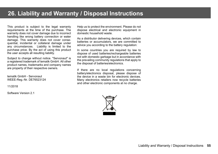# **26. Liability and Warranty / Disposal Instructions**

This product is subject to the legal warranty requirements at the time of the purchase. The warranty does not cover damage due to incorrect handling like wrong battery connection or water damage. This warranty does not cover consequential, incidental or collateral damage under any circumstances. Liability is limited to the purchase price. By the act of using this product the user accepts all resulting liability.

Subject to change without notice. "Servonaut" is a registered trademark of tematik GmbH. All other product names, trademarks and company names are property of their respective owners.

tematik GmbH - Servonaut WEEE-Reg.-Nr. DE76523124

11/2018

Software Version 2.1

Help us to protect the environment. Please do not dispose electrical and electronic equipment in domestic household waste.

As a distributor delivering devices, which contain batteries or accumulators, we are committed to advice you according to the battery regulation:

In some countries you are required by law to dispose of used batteries/rechargeable batteries not with domestic garbage but in accordance with the prevailing community regulations that apply to the disposal of batteries/electronics.

If there are no local regulations concerning battery/electronics disposal, please dispose of the device in a waste bin for electronic devices. Many electronics retailers now recycle batteries and other electronic components at no charge.

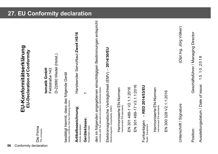# **56** Conformitätserklärung<br>**EU-Konformitätserklärung<br>EU-Declaration of Conformity<br>tematik GmbH<br>tematik GmbH<br>The company tematik GmbH**

Feldstraße 143

D-22880 Wedel (Holst.) D-22880 Wedel (Holst.)

bestätigt hiermit, dass das folgende Gerät bestätigt hiermit, dass das folgende Gerät hereby comfirms that the following device hereby comfirms that the following device

**Artikelbezeichnung:** Handsender ServoNaut **Zwo4 HS16** Artikelbezeichnung: Article description: Article description:

Handsender ServoNaut Zwo4 HS16

**Geräteklasse:** 1 Geräteklasse: Equipment class: Equipment class:

den im folgenden angegebenen einschlägigen Bestimmungen entspricht<br>complies with the relevant provisions mentioned below den im folgenden angegebenen einschlägigen Bestimmungen entspricht complies with the relevant provisions mentioned below

Elektromagnetische Verträglichkeit (EMV) - 2014/30/EU<br><sup>Electromagnetic compatibility (EMC)</sup> Elektromagnetische Verträglichkeit (EMV) – **2014/30/EU** Electromagnetic compatibility (EMC)

Harmonisierte EN-Normen Harmonisierte EN-Normen Harmonised EN-standards Harmonised EN-standards EN 301 489-1 V2.1.1:2016 EN 301 489-1 V2.1.1:2016

301489-17 V3.1.1:2016 EN 301 489-17 V3.1.1:2016  $\overline{E}$ 

- RED 2014/53/EU Funkanlagen – **RED 2014/53/EU** Funkanlagen<br>Radio Equipment Radio Equipment

Harmonisierte EN-Normen Harmonisierte EN-Normen Harmonised EN-standards Harmonised EN-standards

300 328 V2.1.1:2016 EN 300 328 V2.1.1:2016  $\overline{a}$ 

Unterschrift / Signature (Dipl.Ing. Jörg Völker) Unterschrift / Signature

(Dipl.Ing. Jörg Völker)

Position:

Geschäftsführer / Managing Director Position: Geschäftsführer / Managing Director

Ausstellungsdatum / Date of issue: 1 5 . 1 0 . 2 0 1 85.10.2018  $\overline{ }$ Ausstellungsdatum / Date of issue: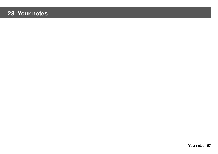# **28. Your notes**